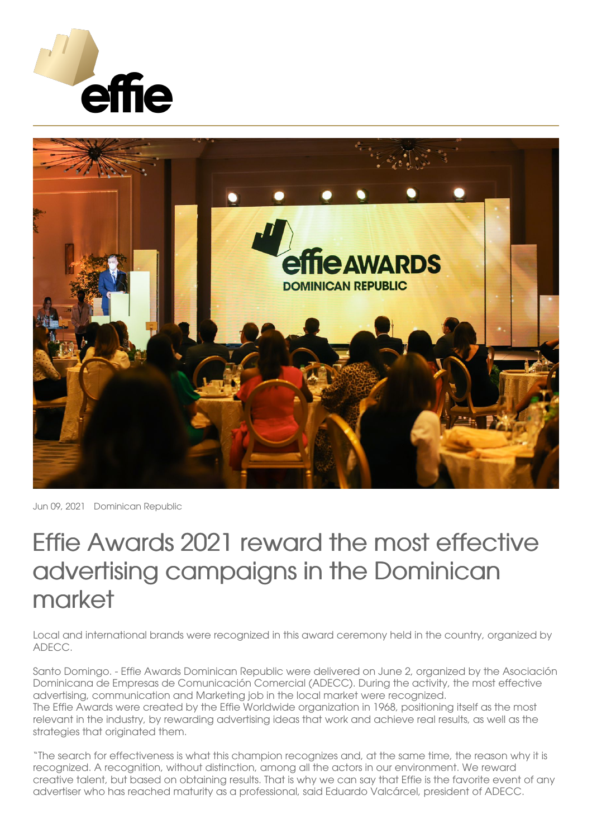



Jun 09, 2021 Dominican Republic

## Effie Awards 2021 reward the most effective advertising campaigns in the Dominican market

Local and international brands were recognized in this award ceremony held in the country, organized by ADECC.

Santo Domingo. - Effie Awards Dominican Republic were delivered on June 2, organized by the Asociación Dominicana de Empresas de Comunicación Comercial (ADECC). During the activity, the most effective advertising, communication and Marketing job in the local market were recognized. The Effie Awards were created by the Effie Worldwide organization in 1968, positioning itself as the most relevant in the industry, by rewarding advertising ideas that work and achieve real results, as well as the strategies that originated them.

"The search for effectiveness is what this champion recognizes and, at the same time, the reason why it is recognized. A recognition, without distinction, among all the actors in our environment. We reward creative talent, but based on obtaining results. That is why we can say that Effie is the favorite event of any advertiser who has reached maturity as a professional, said Eduardo Valcárcel, president of ADECC.